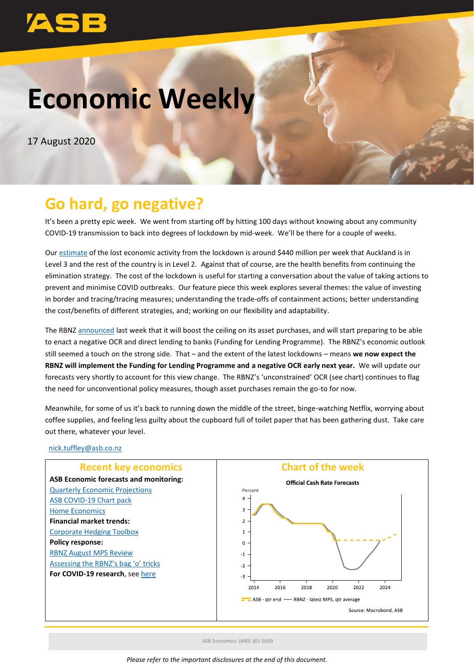# **Economic Weekly**

17 August 2020

# **Go hard, go negative?**

It's been a pretty epic week. We went from starting off by hitting 100 days without knowing about any community COVID-19 transmission to back into degrees of lockdown by mid-week. We'll be there for a couple of weeks.

Our [estimate](https://www.asb.co.nz/content/dam/asb/documents/reports/economic-note/covid-19-august-outbreak.pdf) of the lost economic activity from the lockdown is around \$440 million per week that Auckland is in Level 3 and the rest of the country is in Level 2. Against that of course, are the health benefits from continuing the elimination strategy. The cost of the lockdown is useful for starting a conversation about the value of taking actions to prevent and minimise COVID outbreaks. Our feature piece this week explores several themes: the value of investing in border and tracing/tracing measures; understanding the trade-offs of containment actions; better understanding the cost/benefits of different strategies, and; working on our flexibility and adaptability.

The RBNZ [announced](https://www.asb.co.nz/content/dam/asb/documents/reports/economic-note/rbnz-aug2020-mps-review.pdf) last week that it will boost the ceiling on its asset purchases, and will start preparing to be able to enact a negative OCR and direct lending to banks (Funding for Lending Programme). The RBNZ's economic outlook still seemed a touch on the strong side. That – and the extent of the latest lockdowns – means **we now expect the RBNZ will implement the Funding for Lending Programme and a negative OCR early next year.** We will update our forecasts very shortly to account for this view change. The RBNZ's 'unconstrained' OCR (see chart) continues to flag the need for unconventional policy measures, though asset purchases remain the go-to for now.

Meanwhile, for some of us it's back to running down the middle of the street, binge-watching Netflix, worrying about coffee supplies, and feeling less guilty about the cupboard full of toilet paper that has been gathering dust. Take care out there, whatever your level.

#### [nick.tuffley@asb.co.nz](mailto:nick.tuffley@asb.co.nz)





ASB Economics (649) 301 5659

*Please refer to the important disclosures at the end of this document.*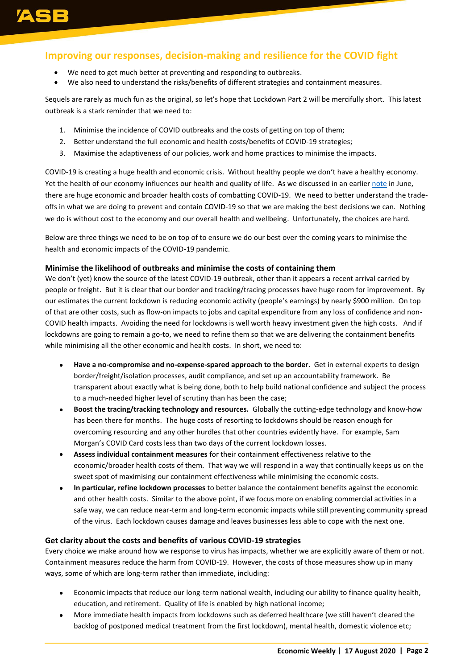# **Improving our responses, decision-making and resilience for the COVID fight**

- We need to get much better at preventing and responding to outbreaks.
- We also need to understand the risks/benefits of different strategies and containment measures.

Sequels are rarely as much fun as the original, so let's hope that Lockdown Part 2 will be mercifully short. This latest outbreak is a stark reminder that we need to:

- 1. Minimise the incidence of COVID outbreaks and the costs of getting on top of them;
- 2. Better understand the full economic and health costs/benefits of COVID-19 strategies;
- 3. Maximise the adaptiveness of our policies, work and home practices to minimise the impacts.

COVID-19 is creating a huge health and economic crisis. Without healthy people we don't have a healthy economy. Yet the health of our economy influences our health and quality of life. As we discussed in an earlier [note](https://www.asb.co.nz/content/dam/asb/documents/reports/economic-note/covid_thoughts_june2020.pdf) in June, there are huge economic and broader health costs of combatting COVID-19. We need to better understand the tradeoffs in what we are doing to prevent and contain COVID-19 so that we are making the best decisions we can. Nothing we do is without cost to the economy and our overall health and wellbeing. Unfortunately, the choices are hard.

Below are three things we need to be on top of to ensure we do our best over the coming years to minimise the health and economic impacts of the COVID-19 pandemic.

#### **Minimise the likelihood of outbreaks and minimise the costs of containing them**

We don't (yet) know the source of the latest COVID-19 outbreak, other than it appears a recent arrival carried by people or freight. But it is clear that our border and tracking/tracing processes have huge room for improvement. By our estimates the current lockdown is reducing economic activity (people's earnings) by nearly \$900 million. On top of that are other costs, such as flow-on impacts to jobs and capital expenditure from any loss of confidence and non-COVID health impacts. Avoiding the need for lockdowns is well worth heavy investment given the high costs. And if lockdowns are going to remain a go-to, we need to refine them so that we are delivering the containment benefits while minimising all the other economic and health costs. In short, we need to:

- **Have a no-compromise and no-expense-spared approach to the border.** Get in external experts to design border/freight/isolation processes, audit compliance, and set up an accountability framework. Be transparent about exactly what is being done, both to help build national confidence and subject the process to a much-needed higher level of scrutiny than has been the case;
- **Boost the tracing/tracking technology and resources.** Globally the cutting-edge technology and know-how has been there for months. The huge costs of resorting to lockdowns should be reason enough for overcoming resourcing and any other hurdles that other countries evidently have. For example, Sam Morgan's COVID Card costs less than two days of the current lockdown losses.
- **Assess individual containment measures** for their containment effectiveness relative to the economic/broader health costs of them. That way we will respond in a way that continually keeps us on the sweet spot of maximising our containment effectiveness while minimising the economic costs.
- **In particular, refine lockdown processes** to better balance the containment benefits against the economic and other health costs. Similar to the above point, if we focus more on enabling commercial activities in a safe way, we can reduce near-term and long-term economic impacts while still preventing community spread of the virus. Each lockdown causes damage and leaves businesses less able to cope with the next one.

#### **Get clarity about the costs and benefits of various COVID-19 strategies**

Every choice we make around how we response to virus has impacts, whether we are explicitly aware of them or not. Containment measures reduce the harm from COVID-19. However, the costs of those measures show up in many ways, some of which are long-term rather than immediate, including:

- Economic impacts that reduce our long-term national wealth, including our ability to finance quality health, education, and retirement. Quality of life is enabled by high national income;
- More immediate health impacts from lockdowns such as deferred healthcare (we still haven't cleared the backlog of postponed medical treatment from the first lockdown), mental health, domestic violence etc;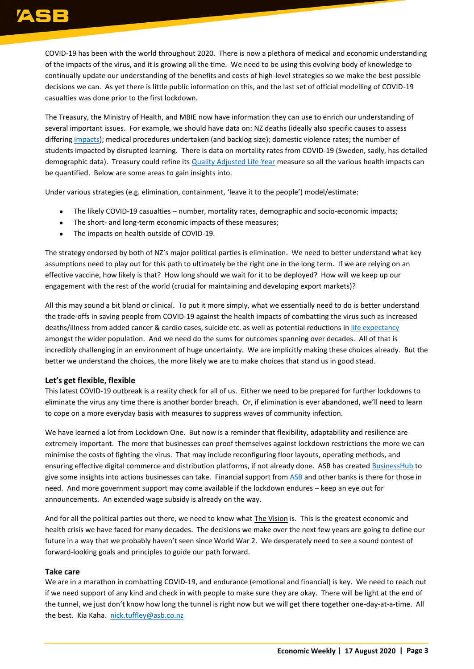# ASB

COVID-19 has been with the world throughout 2020. There is now a plethora of medical and economic understanding of the impacts of the virus, and it is growing all the time. We need to be using this evolving body of knowledge to continually update our understanding of the benefits and costs of high-level strategies so we make the best possible decisions we can. As yet there is little public information on this, and the last set of official modelling of COVID-19 casualties was done prior to the first lockdown.

The Treasury, the Ministry of Health, and MBIE now have information they can use to enrich our understanding of several important issues. For example, we should have data on: NZ deaths (ideally also specific causes to assess differing [impacts\)](https://blogs.otago.ac.nz/pubhealthexpert/2020/07/10/weekly-deaths-declined-in-nzs-lockdown-but-we-still-dont-know-exactly-why/); medical procedures undertaken (and backlog size); domestic violence rates; the number of students impacted by disrupted learning. There is data on mortality rates from COVID-19 (Sweden, sadly, has detailed demographic data). Treasury could refine its [Quality Adjusted Life Year](https://en.wikipedia.org/wiki/Quality-adjusted_life_year#:~:text=The%20quality%2Dadjusted%20life%20year,one%20year%20in%20perfect%20health.) measure so all the various health impacts can be quantified. Below are some areas to gain insights into.

Under various strategies (e.g. elimination, containment, 'leave it to the people') model/estimate:

- The likely COVID-19 casualties number, mortality rates, demographic and socio-economic impacts;
- The short- and long-term economic impacts of these measures;
- The impacts on health outside of COVID-19.

The strategy endorsed by both of NZ's major political parties is elimination. We need to better understand what key assumptions need to play out for this path to ultimately be the right one in the long term. If we are relying on an effective vaccine, how likely is that? How long should we wait for it to be deployed? How will we keep up our engagement with the rest of the world (crucial for maintaining and developing export markets)?

All this may sound a bit bland or clinical. To put it more simply, what we essentially need to do is better understand the trade-offs in saving people from COVID-19 against the health impacts of combatting the virus such as increased deaths/illness from added cancer & cardio cases, suicide etc. as well as potential reductions in [life expectancy](http://www.colbas.org/ntp/opnAxs/N02TH20A.pdf) amongst the wider population. And we need do the sums for outcomes spanning over decades. All of that is incredibly challenging in an environment of huge uncertainty. We are implicitly making these choices already. But the better we understand the choices, the more likely we are to make choices that stand us in good stead.

#### **Let's get flexible, flexible**

This latest COVID-19 outbreak is a reality check for all of us. Either we need to be prepared for further lockdowns to eliminate the virus any time there is another border breach. Or, if elimination is ever abandoned, we'll need to learn to cope on a more everyday basis with measures to suppress waves of community infection.

We have learned a lot from Lockdown One. But now is a reminder that flexibility, adaptability and resilience are extremely important. The more that businesses can proof themselves against lockdown restrictions the more we can minimise the costs of fighting the virus. That may include reconfiguring floor layouts, operating methods, and ensuring effective digital commerce and distribution platforms, if not already done. ASB has created [BusinessHub](https://businesshub.asb.co.nz/) to give some insights into actions businesses can take. Financial support from [ASB](https://www.asb.co.nz/covid-19#support-options) and other banks is there for those in need. And more government support may come available if the lockdown endures – keep an eye out for announcements. An extended wage subsidy is already on the way.

And for all the political parties out there, we need to know what The Vision is. This is the greatest economic and health crisis we have faced for many decades. The decisions we make over the next few years are going to define our future in a way that we probably haven't seen since World War 2. We desperately need to see a sound contest of forward-looking goals and principles to guide our path forward.

#### **Take care**

We are in a marathon in combatting COVID-19, and endurance (emotional and financial) is key. We need to reach out if we need support of any kind and check in with people to make sure they are okay. There will be light at the end of the tunnel, we just don't know how long the tunnel is right now but we will get there together one-day-at-a-time. All the best. Kia Kaha. [nick.tuffley@asb.co.nz](mailto:nick.tuffley@asb.co.nz)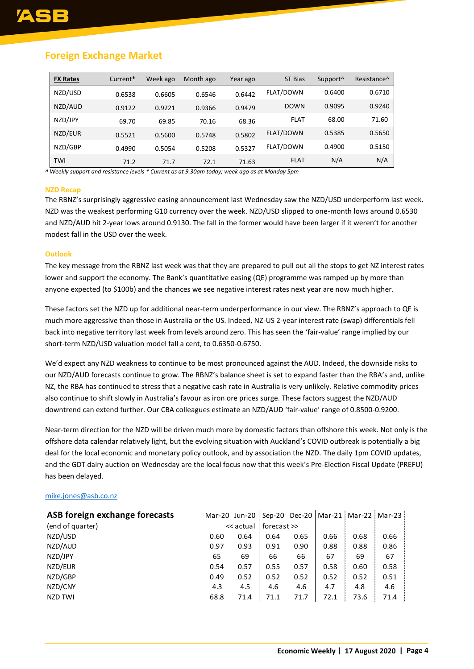# **Foreign Exchange Market**

| <b>FX Rates</b> | Current* | Week ago | Month ago | Year ago | ST Bias          | Support <sup>^</sup> | Resistance <sup>^</sup> |
|-----------------|----------|----------|-----------|----------|------------------|----------------------|-------------------------|
| NZD/USD         | 0.6538   | 0.6605   | 0.6546    | 0.6442   | <b>FLAT/DOWN</b> | 0.6400               | 0.6710                  |
| NZD/AUD         | 0.9122   | 0.9221   | 0.9366    | 0.9479   | <b>DOWN</b>      | 0.9095               | 0.9240                  |
| NZD/JPY         | 69.70    | 69.85    | 70.16     | 68.36    | <b>FLAT</b>      | 68.00                | 71.60                   |
| NZD/EUR         | 0.5521   | 0.5600   | 0.5748    | 0.5802   | <b>FLAT/DOWN</b> | 0.5385               | 0.5650                  |
| NZD/GBP         | 0.4990   | 0.5054   | 0.5208    | 0.5327   | <b>FLAT/DOWN</b> | 0.4900               | 0.5150                  |
| TWI             | 71.2     | 71.7     | 72.1      | 71.63    | <b>FLAT</b>      | N/A                  | N/A                     |

*^ Weekly support and resistance levels \* Current as at 9.30am today; week ago as at Monday 5pm*

#### **NZD Recap**

The RBNZ's surprisingly aggressive easing announcement last Wednesday saw the NZD/USD underperform last week. NZD was the weakest performing G10 currency over the week. NZD/USD slipped to one-month lows around 0.6530 and NZD/AUD hit 2-year lows around 0.9130. The fall in the former would have been larger if it weren't for another modest fall in the USD over the week.

#### **Outlook**

The key message from the RBNZ last week was that they are prepared to pull out all the stops to get NZ interest rates lower and support the economy. The Bank's quantitative easing (QE) programme was ramped up by more than anyone expected (to \$100b) and the chances we see negative interest rates next year are now much higher.

These factors set the NZD up for additional near-term underperformance in our view. The RBNZ's approach to QE is much more aggressive than those in Australia or the US. Indeed, NZ-US 2-year interest rate (swap) differentials fell back into negative territory last week from levels around zero. This has seen the 'fair-value' range implied by our short-term NZD/USD valuation model fall a cent, to 0.6350-0.6750.

We'd expect any NZD weakness to continue to be most pronounced against the AUD. Indeed, the downside risks to our NZD/AUD forecasts continue to grow. The RBNZ's balance sheet is set to expand faster than the RBA's and, unlike NZ, the RBA has continued to stress that a negative cash rate in Australia is very unlikely. Relative commodity prices also continue to shift slowly in Australia's favour as iron ore prices surge. These factors suggest the NZD/AUD downtrend can extend further. Our CBA colleagues estimate an NZD/AUD 'fair-value' range of 0.8500-0.9200.

Near-term direction for the NZD will be driven much more by domestic factors than offshore this week. Not only is the offshore data calendar relatively light, but the evolving situation with Auckland's COVID outbreak is potentially a big deal for the local economic and monetary policy outlook, and by association the NZD. The daily 1pm COVID updates, and the GDT dairy auction on Wednesday are the local focus now that this week's Pre-Election Fiscal Update (PREFU) has been delayed.

#### [mike.jones@asb.co.nz](mailto:Mike.jones@asb.co.nz)

| ASB foreign exchange forecasts |      |           |             |      |      |      | Mar-20 Jun-20   Sep-20 Dec-20   Mar-21   Mar-22   Mar-23 |
|--------------------------------|------|-----------|-------------|------|------|------|----------------------------------------------------------|
| (end of quarter)               |      | << actual | forecast >> |      |      |      |                                                          |
| NZD/USD                        | 0.60 | 0.64      | 0.64        | 0.65 | 0.66 | 0.68 | 0.66                                                     |
| NZD/AUD                        | 0.97 | 0.93      | 0.91        | 0.90 | 0.88 | 0.88 | 0.86                                                     |
| NZD/JPY                        | 65   | 69        | 66          | 66   | 67   | 69   | 67                                                       |
| NZD/EUR                        | 0.54 | 0.57      | 0.55        | 0.57 | 0.58 | 0.60 | 0.58                                                     |
| NZD/GBP                        | 0.49 | 0.52      | 0.52        | 0.52 | 0.52 | 0.52 | 0.51                                                     |
| NZD/CNY                        | 4.3  | 4.5       | 4.6         | 4.6  | 4.7  | 4.8  | 4.6                                                      |
| NZD TWI                        | 68.8 | 71.4      | 71.1        | 71.7 | 72.1 | 73.6 | 71.4                                                     |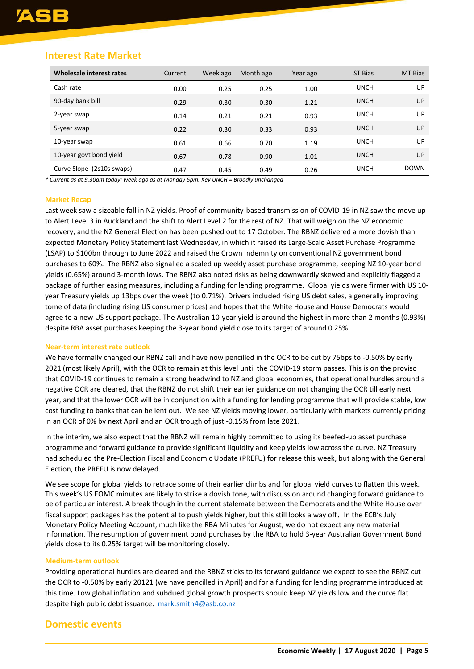### **Interest Rate Market**

| Wholesale interest rates  | Current | Week ago | Month ago | Year ago | <b>ST Bias</b> | <b>MT Bias</b> |
|---------------------------|---------|----------|-----------|----------|----------------|----------------|
| Cash rate                 | 0.00    | 0.25     | 0.25      | 1.00     | <b>UNCH</b>    | UP.            |
| 90-day bank bill          | 0.29    | 0.30     | 0.30      | 1.21     | <b>UNCH</b>    | UP             |
| 2-year swap               | 0.14    | 0.21     | 0.21      | 0.93     | <b>UNCH</b>    | UP.            |
| 5-year swap               | 0.22    | 0.30     | 0.33      | 0.93     | <b>UNCH</b>    | UP.            |
| 10-year swap              | 0.61    | 0.66     | 0.70      | 1.19     | <b>UNCH</b>    | UP.            |
| 10-year govt bond yield   | 0.67    | 0.78     | 0.90      | 1.01     | <b>UNCH</b>    | UP             |
| Curve Slope (2s10s swaps) | 0.47    | 0.45     | 0.49      | 0.26     | <b>UNCH</b>    | <b>DOWN</b>    |

*\* Current as at 9.30am today; week ago as at Monday 5pm. Key UNCH = Broadly unchanged*

#### **Market Recap**

Last week saw a sizeable fall in NZ yields. Proof of community-based transmission of COVID-19 in NZ saw the move up to Alert Level 3 in Auckland and the shift to Alert Level 2 for the rest of NZ. That will weigh on the NZ economic recovery, and the NZ General Election has been pushed out to 17 October. The RBNZ delivered a more dovish than expected Monetary Policy Statement last Wednesday, in which it raised its Large-Scale Asset Purchase Programme (LSAP) to \$100bn through to June 2022 and raised the Crown Indemnity on conventional NZ government bond purchases to 60%. The RBNZ also signalled a scaled up weekly asset purchase programme, keeping NZ 10-year bond yields (0.65%) around 3-month lows. The RBNZ also noted risks as being downwardly skewed and explicitly flagged a package of further easing measures, including a funding for lending programme. Global yields were firmer with US 10 year Treasury yields up 13bps over the week (to 0.71%). Drivers included rising US debt sales, a generally improving tome of data (including rising US consumer prices) and hopes that the White House and House Democrats would agree to a new US support package. The Australian 10-year yield is around the highest in more than 2 months (0.93%) despite RBA asset purchases keeping the 3-year bond yield close to its target of around 0.25%.

#### **Near-term interest rate outlook**

We have formally changed our RBNZ call and have now pencilled in the OCR to be cut by 75bps to -0.50% by early 2021 (most likely April), with the OCR to remain at this level until the COVID-19 storm passes. This is on the proviso that COVID-19 continues to remain a strong headwind to NZ and global economies, that operational hurdles around a negative OCR are cleared, that the RBNZ do not shift their earlier guidance on not changing the OCR till early next year, and that the lower OCR will be in conjunction with a funding for lending programme that will provide stable, low cost funding to banks that can be lent out. We see NZ yields moving lower, particularly with markets currently pricing in an OCR of 0% by next April and an OCR trough of just -0.15% from late 2021.

In the interim, we also expect that the RBNZ will remain highly committed to using its beefed-up asset purchase programme and forward guidance to provide significant liquidity and keep yields low across the curve. NZ Treasury had scheduled the Pre-Election Fiscal and Economic Update (PREFU) for release this week, but along with the General Election, the PREFU is now delayed.

We see scope for global yields to retrace some of their earlier climbs and for global yield curves to flatten this week. This week's US FOMC minutes are likely to strike a dovish tone, with discussion around changing forward guidance to be of particular interest. A break though in the current stalemate between the Democrats and the White House over fiscal support packages has the potential to push yields higher, but this still looks a way off. In the ECB's July Monetary Policy Meeting Account, much like the RBA Minutes for August, we do not expect any new material information. The resumption of government bond purchases by the RBA to hold 3-year Australian Government Bond yields close to its 0.25% target will be monitoring closely.

#### **Medium-term outlook**

Providing operational hurdles are cleared and the RBNZ sticks to its forward guidance we expect to see the RBNZ cut the OCR to -0.50% by early 20121 (we have pencilled in April) and for a funding for lending programme introduced at this time. Low global inflation and subdued global growth prospects should keep NZ yields low and the curve flat despite high public debt issuance. [mark.smith4@asb.co.nz](mailto:mark.smith4@asb.co.nz)

### **Domestic events**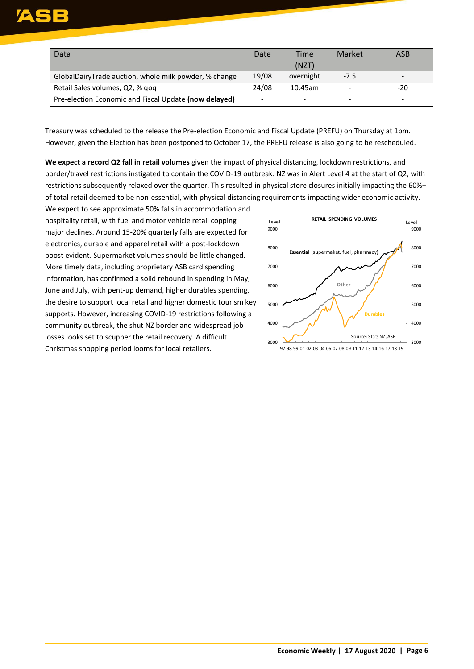| Data                                                  | Date  | Time      | Market                   | ASB |
|-------------------------------------------------------|-------|-----------|--------------------------|-----|
|                                                       |       | (NZT)     |                          |     |
| GlobalDairyTrade auction, whole milk powder, % change | 19/08 | overnight | $-7.5$                   |     |
| Retail Sales volumes, Q2, % qoq                       | 24/08 | 10:45am   |                          | -20 |
| Pre-election Economic and Fiscal Update (now delayed) | -     | -         | $\overline{\phantom{0}}$ |     |

Treasury was scheduled to the release the Pre-election Economic and Fiscal Update (PREFU) on Thursday at 1pm. However, given the Election has been postponed to October 17, the PREFU release is also going to be rescheduled.

**We expect a record Q2 fall in retail volumes** given the impact of physical distancing, lockdown restrictions, and border/travel restrictions instigated to contain the COVID-19 outbreak. NZ was in Alert Level 4 at the start of Q2, with restrictions subsequently relaxed over the quarter. This resulted in physical store closures initially impacting the 60%+ of total retail deemed to be non-essential, with physical distancing requirements impacting wider economic activity.

We expect to see approximate 50% falls in accommodation and hospitality retail, with fuel and motor vehicle retail copping major declines. Around 15-20% quarterly falls are expected for electronics, durable and apparel retail with a post-lockdown boost evident. Supermarket volumes should be little changed. More timely data, including proprietary ASB card spending information, has confirmed a solid rebound in spending in May, June and July, with pent-up demand, higher durables spending, the desire to support local retail and higher domestic tourism key supports. However, increasing COVID-19 restrictions following a community outbreak, the shut NZ border and widespread job losses looks set to scupper the retail recovery. A difficult Christmas shopping period looms for local retailers.

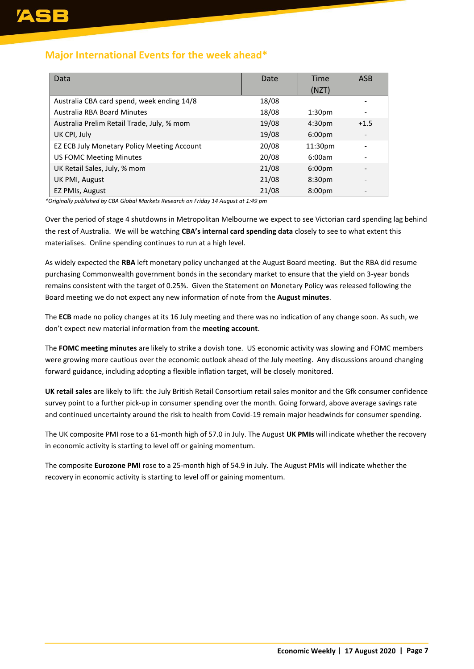### **Major International Events for the week ahead\***

| Data                                        | Date  | Time               | <b>ASB</b> |
|---------------------------------------------|-------|--------------------|------------|
|                                             |       | (NZT)              |            |
| Australia CBA card spend, week ending 14/8  | 18/08 |                    |            |
| Australia RBA Board Minutes                 | 18/08 | 1:30 <sub>pm</sub> |            |
| Australia Prelim Retail Trade, July, % mom  | 19/08 | 4:30 <sub>pm</sub> | $+1.5$     |
| UK CPI, July                                | 19/08 | 6:00 <sub>pm</sub> |            |
| EZ ECB July Monetary Policy Meeting Account | 20/08 | 11:30pm            |            |
| <b>US FOMC Meeting Minutes</b>              | 20/08 | 6:00am             |            |
| UK Retail Sales, July, % mom                | 21/08 | 6:00 <sub>pm</sub> |            |
| UK PMI, August                              | 21/08 | 8:30 <sub>pm</sub> |            |
| EZ PMIs, August                             | 21/08 | 8:00 <sub>pm</sub> |            |

*\*Originally published by CBA Global Markets Research on Friday 14 August at 1:49 pm*

Over the period of stage 4 shutdowns in Metropolitan Melbourne we expect to see Victorian card spending lag behind the rest of Australia. We will be watching **CBA's internal card spending data** closely to see to what extent this materialises. Online spending continues to run at a high level.

As widely expected the **RBA** left monetary policy unchanged at the August Board meeting. But the RBA did resume purchasing Commonwealth government bonds in the secondary market to ensure that the yield on 3-year bonds remains consistent with the target of 0.25%. Given the Statement on Monetary Policy was released following the Board meeting we do not expect any new information of note from the **August minutes**.

The **ECB** made no policy changes at its 16 July meeting and there was no indication of any change soon. As such, we don't expect new material information from the **meeting account**.

The **FOMC meeting minutes** are likely to strike a dovish tone. US economic activity was slowing and FOMC members were growing more cautious over the economic outlook ahead of the July meeting. Any discussions around changing forward guidance, including adopting a flexible inflation target, will be closely monitored.

**UK retail sales** are likely to lift: the July British Retail Consortium retail sales monitor and the Gfk consumer confidence survey point to a further pick-up in consumer spending over the month. Going forward, above average savings rate and continued uncertainty around the risk to health from Covid-19 remain major headwinds for consumer spending.

The UK composite PMI rose to a 61-month high of 57.0 in July. The August **UK PMIs** will indicate whether the recovery in economic activity is starting to level off or gaining momentum.

The composite **Eurozone PMI** rose to a 25-month high of 54.9 in July. The August PMIs will indicate whether the recovery in economic activity is starting to level off or gaining momentum.